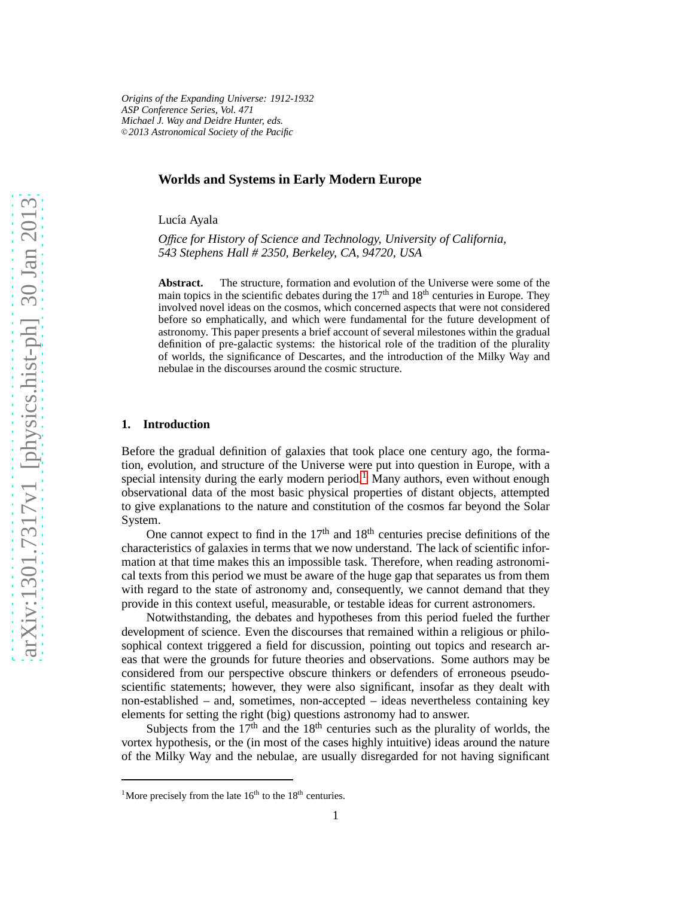*Origins of the Expanding Universe: 1912-1932 ASP Conference Series, Vol. 471 Michael J. Way and Deidre Hunter, eds.* <sup>c</sup> *2013 Astronomical Society of the Pacific*

## **Worlds and Systems in Early Modern Europe**

Lucía Ayala

*O*ffi*ce for History of Science and Technology, University of California, 543 Stephens Hall # 2350, Berkeley, CA, 94720, USA*

**Abstract.** The structure, formation and evolution of the Universe were some of the main topics in the scientific debates during the  $17<sup>th</sup>$  and  $18<sup>th</sup>$  centuries in Europe. They involved novel ideas on the cosmos, which concerned aspects that were not considered before so emphatically, and which were fundamental for the future development of astronomy. This paper presents a brief account of several milestones within the gradual definition of pre-galactic systems: the historical role of the tradition of the plurality of worlds, the significance of Descartes, and the introduction of the Milky Way and nebulae in the discourses around the cosmic structure.

### **1. Introduction**

Before the gradual definition of galaxies that took place one century ago, the formation, evolution, and structure of the Universe were put into question in Europe, with a special intensity during the early modern period.<sup>[1](#page-0-0)</sup> Many authors, even without enough observational data of the most basic physical properties of distant objects, attempted to give explanations to the nature and constitution of the cosmos far beyond the Solar System.

One cannot expect to find in the  $17<sup>th</sup>$  and  $18<sup>th</sup>$  centuries precise definitions of the characteristics of galaxies in terms that we now understand. The lack of scientific information at that time makes this an impossible task. Therefore, when reading astronomical texts from this period we must be aware of the huge gap that separates us from them with regard to the state of astronomy and, consequently, we cannot demand that they provide in this context useful, measurable, or testable ideas for current astronomers.

Notwithstanding, the debates and hypotheses from this period fueled the further development of science. Even the discourses that remained within a religious or philosophical context triggered a field for discussion, pointing out topics and research areas that were the grounds for future theories and observations. Some authors may be considered from our perspective obscure thinkers or defenders of erroneous pseudoscientific statements; however, they were also significant, insofar as they dealt with non-established – and, sometimes, non-accepted – ideas nevertheless containing key elements for setting the right (big) questions astronomy had to answer.

Subjects from the  $17<sup>th</sup>$  and the  $18<sup>th</sup>$  centuries such as the plurality of worlds, the vortex hypothesis, or the (in most of the cases highly intuitive) ideas around the nature of the Milky Way and the nebulae, are usually disregarded for not having significant

<span id="page-0-0"></span><sup>&</sup>lt;sup>1</sup>More precisely from the late  $16<sup>th</sup>$  to the  $18<sup>th</sup>$  centuries.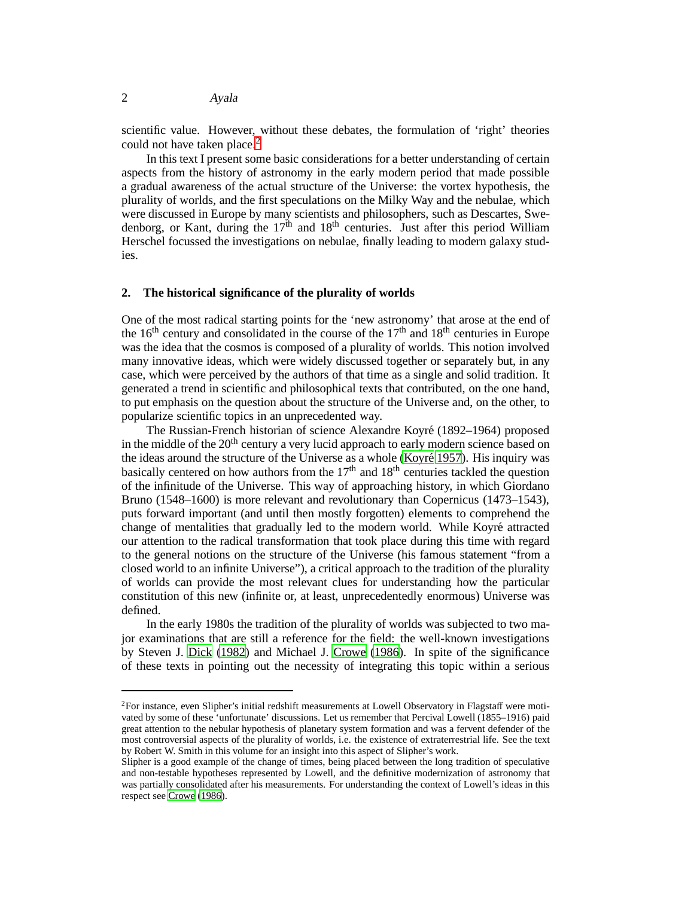scientific value. However, without these debates, the formulation of 'right' theories could not have taken place.<sup>[2](#page-1-0)</sup>

In this text I present some basic considerations for a better understanding of certain aspects from the history of astronomy in the early modern period that made possible a gradual awareness of the actual structure of the Universe: the vortex hypothesis, the plurality of worlds, and the first speculations on the Milky Way and the nebulae, which were discussed in Europe by many scientists and philosophers, such as Descartes, Swedenborg, or Kant, during the  $17<sup>th</sup>$  and  $18<sup>th</sup>$  centuries. Just after this period William Herschel focussed the investigations on nebulae, finally leading to modern galaxy studies.

## **2. The historical significance of the plurality of worlds**

One of the most radical starting points for the 'new astronomy' that arose at the end of the  $16<sup>th</sup>$  century and consolidated in the course of the  $17<sup>th</sup>$  and  $18<sup>th</sup>$  centuries in Europe was the idea that the cosmos is composed of a plurality of worlds. This notion involved many innovative ideas, which were widely discussed together or separately but, in any case, which were perceived by the authors of that time as a single and solid tradition. It generated a trend in scientific and philosophical texts that contributed, on the one hand, to put emphasis on the question about the structure of the Universe and, on the other, to popularize scientific topics in an unprecedented way.

The Russian-French historian of science Alexandre Koyré (1892–1964) proposed in the middle of the  $20<sup>th</sup>$  century a very lucid approach to early modern science based on the ideas around the structure of the Universe as a whole (Koyré 1957). His inquiry was basically centered on how authors from the  $17<sup>th</sup>$  and  $18<sup>th</sup>$  centuries tackled the question of the infinitude of the Universe. This way of approaching history, in which Giordano Bruno (1548–1600) is more relevant and revolutionary than Copernicus (1473–1543), puts forward important (and until then mostly forgotten) elements to comprehend the change of mentalities that gradually led to the modern world. While Koyré attracted our attention to the radical transformation that took place during this time with regard to the general notions on the structure of the Universe (his famous statement "from a closed world to an infinite Universe"), a critical approach to the tradition of the plurality of worlds can provide the most relevant clues for understanding how the particular constitution of this new (infinite or, at least, unprecedentedly enormous) Universe was defined.

In the early 1980s the tradition of the plurality of worlds was subjected to two major examinations that are still a reference for the field: the well-known investigations by Steven J. [Dick](#page-10-0) [\(1982](#page-10-0)) and Michael J. [Crowe \(1986](#page-10-1)). In spite of the significance of these texts in pointing out the necessity of integrating this topic within a serious

<span id="page-1-0"></span><sup>&</sup>lt;sup>2</sup>For instance, even Slipher's initial redshift measurements at Lowell Observatory in Flagstaff were motivated by some of these 'unfortunate' discussions. Let us remember that Percival Lowell (1855–1916) paid great attention to the nebular hypothesis of planetary system formation and was a fervent defender of the most controversial aspects of the plurality of worlds, i.e. the existence of extraterrestrial life. See the text by Robert W. Smith in this volume for an insight into this aspect of Slipher's work.

Slipher is a good example of the change of times, being placed between the long tradition of speculative and non-testable hypotheses represented by Lowell, and the definitive modernization of astronomy that was partially consolidated after his measurements. For understanding the context of Lowell's ideas in this respect see [Crowe \(1986](#page-10-1)).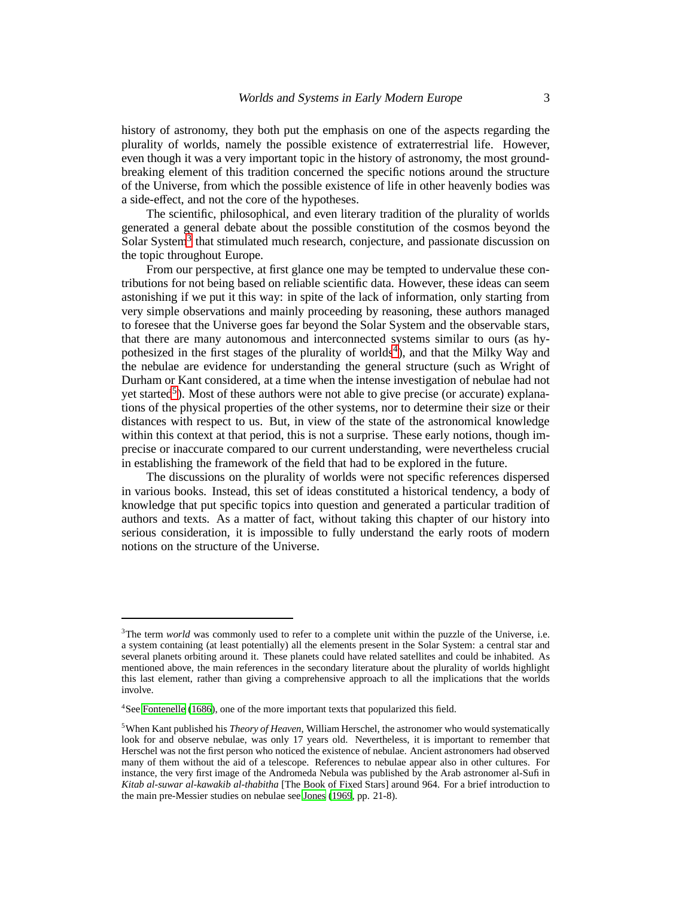history of astronomy, they both put the emphasis on one of the aspects regarding the plurality of worlds, namely the possible existence of extraterrestrial life. However, even though it was a very important topic in the history of astronomy, the most groundbreaking element of this tradition concerned the specific notions around the structure of the Universe, from which the possible existence of life in other heavenly bodies was a side-effect, and not the core of the hypotheses.

The scientific, philosophical, and even literary tradition of the plurality of worlds generated a general debate about the possible constitution of the cosmos beyond the Solar System<sup>[3](#page-2-0)</sup> that stimulated much research, conjecture, and passionate discussion on the topic throughout Europe.

From our perspective, at first glance one may be tempted to undervalue these contributions for not being based on reliable scientific data. However, these ideas can seem astonishing if we put it this way: in spite of the lack of information, only starting from very simple observations and mainly proceeding by reasoning, these authors managed to foresee that the Universe goes far beyond the Solar System and the observable stars, that there are many autonomous and interconnected systems similar to ours (as hy-pothesized in the first stages of the plurality of worlds<sup>[4](#page-2-1)</sup>), and that the Milky Way and the nebulae are evidence for understanding the general structure (such as Wright of Durham or Kant considered, at a time when the intense investigation of nebulae had not yet started<sup>[5](#page-2-2)</sup>). Most of these authors were not able to give precise (or accurate) explanations of the physical properties of the other systems, nor to determine their size or their distances with respect to us. But, in view of the state of the astronomical knowledge within this context at that period, this is not a surprise. These early notions, though imprecise or inaccurate compared to our current understanding, were nevertheless crucial in establishing the framework of the field that had to be explored in the future.

The discussions on the plurality of worlds were not specific references dispersed in various books. Instead, this set of ideas constituted a historical tendency, a body of knowledge that put specific topics into question and generated a particular tradition of authors and texts. As a matter of fact, without taking this chapter of our history into serious consideration, it is impossible to fully understand the early roots of modern notions on the structure of the Universe.

<span id="page-2-0"></span><sup>&</sup>lt;sup>3</sup>The term *world* was commonly used to refer to a complete unit within the puzzle of the Universe, i.e. a system containing (at least potentially) all the elements present in the Solar System: a central star and several planets orbiting around it. These planets could have related satellites and could be inhabited. As mentioned above, the main references in the secondary literature about the plurality of worlds highlight this last element, rather than giving a comprehensive approach to all the implications that the worlds involve.

<sup>&</sup>lt;sup>4</sup>See [Fontenelle \(1686\)](#page-10-2), one of the more important texts that popularized this field.

<span id="page-2-2"></span><span id="page-2-1"></span><sup>5</sup>When Kant published his *Theory of Heaven*, William Herschel, the astronomer who would systematically look for and observe nebulae, was only 17 years old. Nevertheless, it is important to remember that Herschel was not the first person who noticed the existence of nebulae. Ancient astronomers had observed many of them without the aid of a telescope. References to nebulae appear also in other cultures. For instance, the very first image of the Andromeda Nebula was published by the Arab astronomer al-Sufi in *Kitab al-suwar al-kawakib al-thabitha* [The Book of Fixed Stars] around 964. For a brief introduction to the main pre-Messier studies on nebulae see [Jones \(1969,](#page-10-3) pp. 21-8).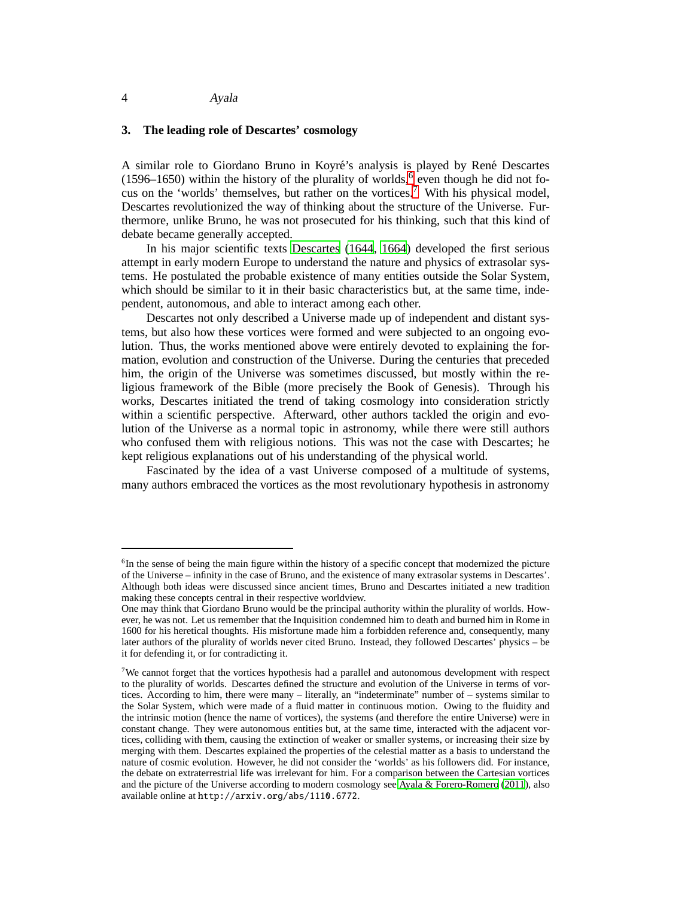### 4 Ayala

## **3. The leading role of Descartes' cosmology**

A similar role to Giordano Bruno in Koyré's analysis is played by René Descartes (159[6](#page-3-0)–1650) within the history of the plurality of worlds,  $6$  even though he did not fo-cus on the 'worlds' themselves, but rather on the vortices.<sup>[7](#page-3-1)</sup> With his physical model, Descartes revolutionized the way of thinking about the structure of the Universe. Furthermore, unlike Bruno, he was not prosecuted for his thinking, such that this kind of debate became generally accepted.

In his major scientific texts [Descartes \(1644,](#page-10-4) [1664\)](#page-10-5) developed the first serious attempt in early modern Europe to understand the nature and physics of extrasolar systems. He postulated the probable existence of many entities outside the Solar System, which should be similar to it in their basic characteristics but, at the same time, independent, autonomous, and able to interact among each other.

Descartes not only described a Universe made up of independent and distant systems, but also how these vortices were formed and were subjected to an ongoing evolution. Thus, the works mentioned above were entirely devoted to explaining the formation, evolution and construction of the Universe. During the centuries that preceded him, the origin of the Universe was sometimes discussed, but mostly within the religious framework of the Bible (more precisely the Book of Genesis). Through his works, Descartes initiated the trend of taking cosmology into consideration strictly within a scientific perspective. Afterward, other authors tackled the origin and evolution of the Universe as a normal topic in astronomy, while there were still authors who confused them with religious notions. This was not the case with Descartes; he kept religious explanations out of his understanding of the physical world.

Fascinated by the idea of a vast Universe composed of a multitude of systems, many authors embraced the vortices as the most revolutionary hypothesis in astronomy

<span id="page-3-0"></span><sup>&</sup>lt;sup>6</sup>In the sense of being the main figure within the history of a specific concept that modernized the picture of the Universe – infinity in the case of Bruno, and the existence of many extrasolar systems in Descartes'. Although both ideas were discussed since ancient times, Bruno and Descartes initiated a new tradition making these concepts central in their respective worldview.

One may think that Giordano Bruno would be the principal authority within the plurality of worlds. However, he was not. Let us remember that the Inquisition condemned him to death and burned him in Rome in 1600 for his heretical thoughts. His misfortune made him a forbidden reference and, consequently, many later authors of the plurality of worlds never cited Bruno. Instead, they followed Descartes' physics – be it for defending it, or for contradicting it.

<span id="page-3-1"></span><sup>7</sup>We cannot forget that the vortices hypothesis had a parallel and autonomous development with respect to the plurality of worlds. Descartes defined the structure and evolution of the Universe in terms of vortices. According to him, there were many – literally, an "indeterminate" number of – systems similar to the Solar System, which were made of a fluid matter in continuous motion. Owing to the fluidity and the intrinsic motion (hence the name of vortices), the systems (and therefore the entire Universe) were in constant change. They were autonomous entities but, at the same time, interacted with the adjacent vortices, colliding with them, causing the extinction of weaker or smaller systems, or increasing their size by merging with them. Descartes explained the properties of the celestial matter as a basis to understand the nature of cosmic evolution. However, he did not consider the 'worlds' as his followers did. For instance, the debate on extraterrestrial life was irrelevant for him. For a comparison between the Cartesian vortices and the picture of the Universe according to modern cosmology see [Ayala & Forero-Romero \(2011](#page-10-6)), also available online at http://arxiv.org/abs/1110.6772.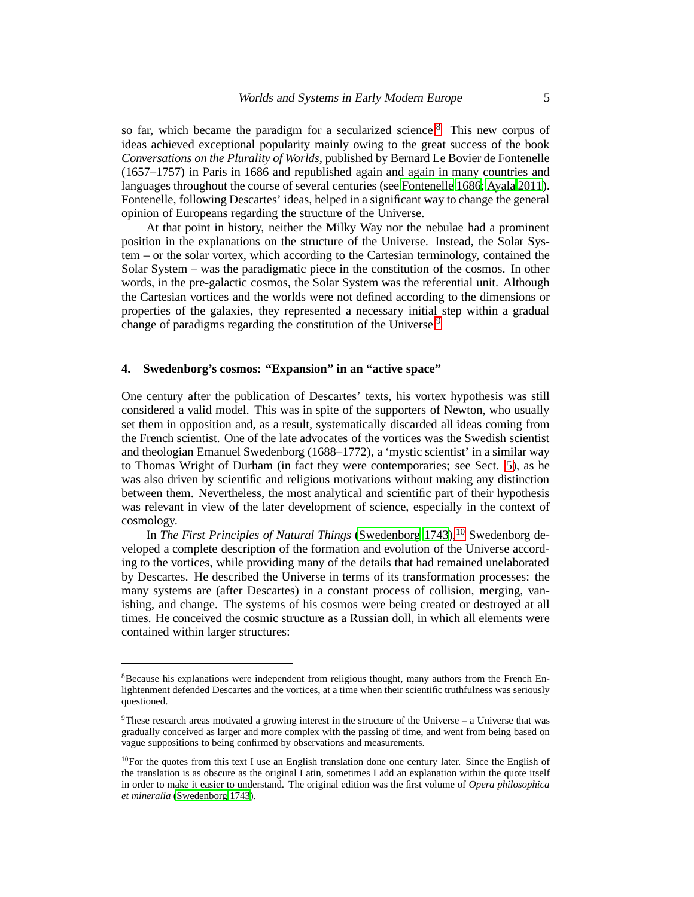so far, which became the paradigm for a secularized science.<sup>[8](#page-4-0)</sup> This new corpus of ideas achieved exceptional popularity mainly owing to the great success of the book *Conversations on the Plurality of Worlds*, published by Bernard Le Bovier de Fontenelle (1657–1757) in Paris in 1686 and republished again and again in many countries and languages throughout the course of several centuries (see [Fontenelle 1686](#page-10-2); [Ayala 2011\)](#page-10-7). Fontenelle, following Descartes' ideas, helped in a significant way to change the general opinion of Europeans regarding the structure of the Universe.

At that point in history, neither the Milky Way nor the nebulae had a prominent position in the explanations on the structure of the Universe. Instead, the Solar System – or the solar vortex, which according to the Cartesian terminology, contained the Solar System – was the paradigmatic piece in the constitution of the cosmos. In other words, in the pre-galactic cosmos, the Solar System was the referential unit. Although the Cartesian vortices and the worlds were not defined according to the dimensions or properties of the galaxies, they represented a necessary initial step within a gradual change of paradigms regarding the constitution of the Universe.<sup>[9](#page-4-1)</sup>

# **4. Swedenborg's cosmos: "Expansion" in an "active space"**

One century after the publication of Descartes' texts, his vortex hypothesis was still considered a valid model. This was in spite of the supporters of Newton, who usually set them in opposition and, as a result, systematically discarded all ideas coming from the French scientist. One of the late advocates of the vortices was the Swedish scientist and theologian Emanuel Swedenborg (1688–1772), a 'mystic scientist' in a similar way to Thomas Wright of Durham (in fact they were contemporaries; see Sect. [5\)](#page-6-0), as he was also driven by scientific and religious motivations without making any distinction between them. Nevertheless, the most analytical and scientific part of their hypothesis was relevant in view of the later development of science, especially in the context of cosmology.

In *The First Principles of Natural Things* [\(Swedenborg 1743\)](#page-11-1),<sup>[10](#page-4-2)</sup> Swedenborg developed a complete description of the formation and evolution of the Universe according to the vortices, while providing many of the details that had remained unelaborated by Descartes. He described the Universe in terms of its transformation processes: the many systems are (after Descartes) in a constant process of collision, merging, vanishing, and change. The systems of his cosmos were being created or destroyed at all times. He conceived the cosmic structure as a Russian doll, in which all elements were contained within larger structures:

<span id="page-4-0"></span><sup>&</sup>lt;sup>8</sup>Because his explanations were independent from religious thought, many authors from the French Enlightenment defended Descartes and the vortices, at a time when their scientific truthfulness was seriously questioned.

<span id="page-4-1"></span><sup>9</sup>These research areas motivated a growing interest in the structure of the Universe – a Universe that was gradually conceived as larger and more complex with the passing of time, and went from being based on vague suppositions to being confirmed by observations and measurements.

<span id="page-4-2"></span> $10$ For the quotes from this text I use an English translation done one century later. Since the English of the translation is as obscure as the original Latin, sometimes I add an explanation within the quote itself in order to make it easier to understand. The original edition was the first volume of *Opera philosophica et mineralia* [\(Swedenborg 1743\)](#page-11-1).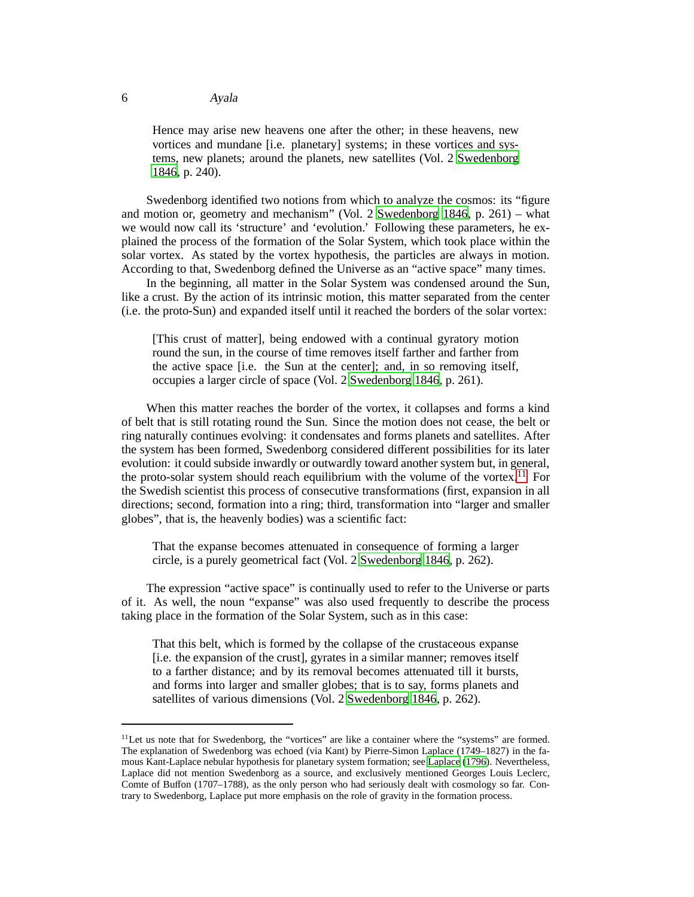Hence may arise new heavens one after the other; in these heavens, new vortices and mundane [i.e. planetary] systems; in these vortices and systems, new planets; around the planets, new satellites (Vol. 2 [Swedenborg](#page-11-2) [1846](#page-11-2), p. 240).

Swedenborg identified two notions from which to analyze the cosmos: its "figure and motion or, geometry and mechanism" (Vol. 2 [Swedenborg 1846,](#page-11-2) p. 261) – what we would now call its 'structure' and 'evolution.' Following these parameters, he explained the process of the formation of the Solar System, which took place within the solar vortex. As stated by the vortex hypothesis, the particles are always in motion. According to that, Swedenborg defined the Universe as an "active space" many times.

In the beginning, all matter in the Solar System was condensed around the Sun, like a crust. By the action of its intrinsic motion, this matter separated from the center (i.e. the proto-Sun) and expanded itself until it reached the borders of the solar vortex:

[This crust of matter], being endowed with a continual gyratory motion round the sun, in the course of time removes itself farther and farther from the active space [i.e. the Sun at the center]; and, in so removing itself, occupies a larger circle of space (Vol. 2 [Swedenborg 1846,](#page-11-2) p. 261).

When this matter reaches the border of the vortex, it collapses and forms a kind of belt that is still rotating round the Sun. Since the motion does not cease, the belt or ring naturally continues evolving: it condensates and forms planets and satellites. After the system has been formed, Swedenborg considered different possibilities for its later evolution: it could subside inwardly or outwardly toward another system but, in general, the proto-solar system should reach equilibrium with the volume of the vortex.<sup>[11](#page-5-0)</sup> For the Swedish scientist this process of consecutive transformations (first, expansion in all directions; second, formation into a ring; third, transformation into "larger and smaller globes", that is, the heavenly bodies) was a scientific fact:

That the expanse becomes attenuated in consequence of forming a larger circle, is a purely geometrical fact (Vol. 2 [Swedenborg 1846](#page-11-2), p. 262).

The expression "active space" is continually used to refer to the Universe or parts of it. As well, the noun "expanse" was also used frequently to describe the process taking place in the formation of the Solar System, such as in this case:

That this belt, which is formed by the collapse of the crustaceous expanse [i.e. the expansion of the crust], gyrates in a similar manner; removes itself to a farther distance; and by its removal becomes attenuated till it bursts, and forms into larger and smaller globes; that is to say, forms planets and satellites of various dimensions (Vol. 2 [Swedenborg 1846](#page-11-2), p. 262).

<span id="page-5-0"></span><sup>&</sup>lt;sup>11</sup>Let us note that for Swedenborg, the "vortices" are like a container where the "systems" are formed. The explanation of Swedenborg was echoed (via Kant) by Pierre-Simon Laplace (1749–1827) in the famous Kant-Laplace nebular hypothesis for planetary system formation; see [Laplace \(1796](#page-11-3)). Nevertheless, Laplace did not mention Swedenborg as a source, and exclusively mentioned Georges Louis Leclerc, Comte of Buffon (1707–1788), as the only person who had seriously dealt with cosmology so far. Contrary to Swedenborg, Laplace put more emphasis on the role of gravity in the formation process.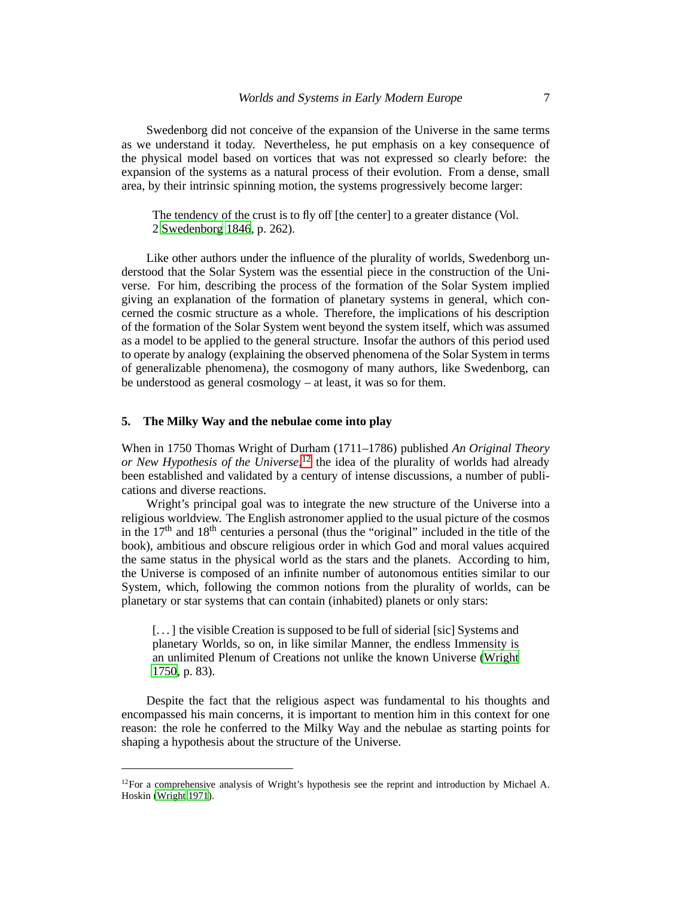Swedenborg did not conceive of the expansion of the Universe in the same terms as we understand it today. Nevertheless, he put emphasis on a key consequence of the physical model based on vortices that was not expressed so clearly before: the expansion of the systems as a natural process of their evolution. From a dense, small area, by their intrinsic spinning motion, the systems progressively become larger:

The tendency of the crust is to fly off [the center] to a greater distance (Vol. 2 [Swedenborg 1846](#page-11-2), p. 262).

Like other authors under the influence of the plurality of worlds, Swedenborg understood that the Solar System was the essential piece in the construction of the Universe. For him, describing the process of the formation of the Solar System implied giving an explanation of the formation of planetary systems in general, which concerned the cosmic structure as a whole. Therefore, the implications of his description of the formation of the Solar System went beyond the system itself, which was assumed as a model to be applied to the general structure. Insofar the authors of this period used to operate by analogy (explaining the observed phenomena of the Solar System in terms of generalizable phenomena), the cosmogony of many authors, like Swedenborg, can be understood as general cosmology – at least, it was so for them.

#### <span id="page-6-0"></span>**5. The Milky Way and the nebulae come into play**

When in 1750 Thomas Wright of Durham (1711–1786) published *An Original Theory or New Hypothesis of the Universe*, [12](#page-6-1) the idea of the plurality of worlds had already been established and validated by a century of intense discussions, a number of publications and diverse reactions.

Wright's principal goal was to integrate the new structure of the Universe into a religious worldview. The English astronomer applied to the usual picture of the cosmos in the  $17<sup>th</sup>$  and  $18<sup>th</sup>$  centuries a personal (thus the "original" included in the title of the book), ambitious and obscure religious order in which God and moral values acquired the same status in the physical world as the stars and the planets. According to him, the Universe is composed of an infinite number of autonomous entities similar to our System, which, following the common notions from the plurality of worlds, can be planetary or star systems that can contain (inhabited) planets or only stars:

[...] the visible Creation is supposed to be full of siderial [sic] Systems and planetary Worlds, so on, in like similar Manner, the endless Immensity is an unlimited Plenum of Creations not unlike the known Universe [\(Wright](#page-11-4) [1750](#page-11-4), p. 83).

Despite the fact that the religious aspect was fundamental to his thoughts and encompassed his main concerns, it is important to mention him in this context for one reason: the role he conferred to the Milky Way and the nebulae as starting points for shaping a hypothesis about the structure of the Universe.

<span id="page-6-1"></span><sup>&</sup>lt;sup>12</sup>For a comprehensive analysis of Wright's hypothesis see the reprint and introduction by Michael A. Hoskin [\(Wright 1971\)](#page-11-5).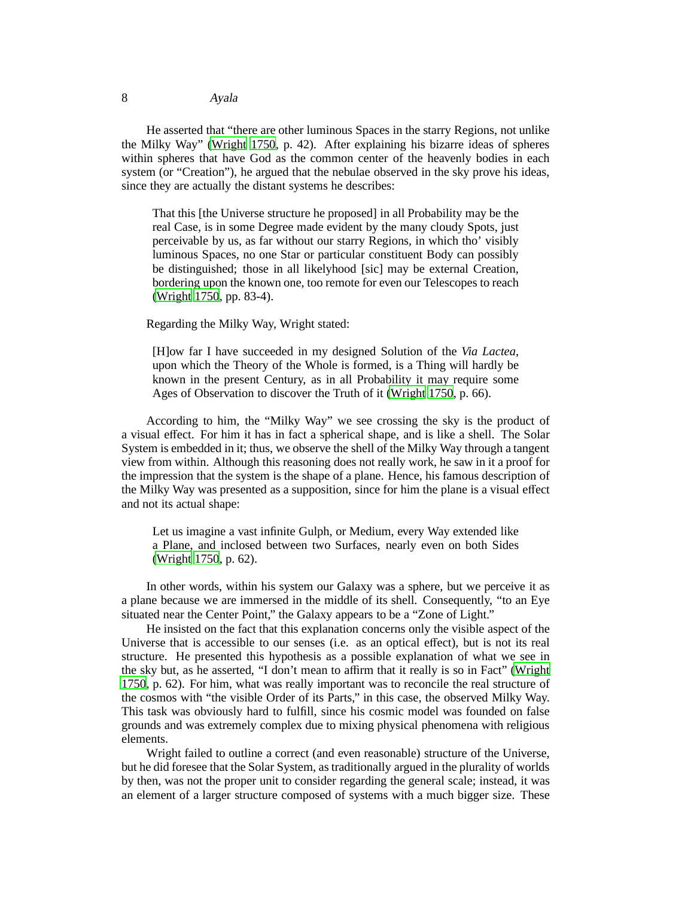# 8 Ayala

He asserted that "there are other luminous Spaces in the starry Regions, not unlike the Milky Way" [\(Wright 1750](#page-11-4), p. 42). After explaining his bizarre ideas of spheres within spheres that have God as the common center of the heavenly bodies in each system (or "Creation"), he argued that the nebulae observed in the sky prove his ideas, since they are actually the distant systems he describes:

That this [the Universe structure he proposed] in all Probability may be the real Case, is in some Degree made evident by the many cloudy Spots, just perceivable by us, as far without our starry Regions, in which tho' visibly luminous Spaces, no one Star or particular constituent Body can possibly be distinguished; those in all likelyhood [sic] may be external Creation, bordering upon the known one, too remote for even our Telescopes to reach [\(Wright 1750](#page-11-4), pp. 83-4).

Regarding the Milky Way, Wright stated:

[H]ow far I have succeeded in my designed Solution of the *Via Lactea*, upon which the Theory of the Whole is formed, is a Thing will hardly be known in the present Century, as in all Probability it may require some Ages of Observation to discover the Truth of it [\(Wright 1750](#page-11-4), p. 66).

According to him, the "Milky Way" we see crossing the sky is the product of a visual effect. For him it has in fact a spherical shape, and is like a shell. The Solar System is embedded in it; thus, we observe the shell of the Milky Way through a tangent view from within. Although this reasoning does not really work, he saw in it a proof for the impression that the system is the shape of a plane. Hence, his famous description of the Milky Way was presented as a supposition, since for him the plane is a visual effect and not its actual shape:

Let us imagine a vast infinite Gulph, or Medium, every Way extended like a Plane, and inclosed between two Surfaces, nearly even on both Sides [\(Wright 1750](#page-11-4), p. 62).

In other words, within his system our Galaxy was a sphere, but we perceive it as a plane because we are immersed in the middle of its shell. Consequently, "to an Eye situated near the Center Point," the Galaxy appears to be a "Zone of Light."

He insisted on the fact that this explanation concerns only the visible aspect of the Universe that is accessible to our senses (i.e. as an optical effect), but is not its real structure. He presented this hypothesis as a possible explanation of what we see in the sky but, as he asserted, "I don't mean to affirm that it really is so in Fact" [\(Wright](#page-11-4) [1750](#page-11-4), p. 62). For him, what was really important was to reconcile the real structure of the cosmos with "the visible Order of its Parts," in this case, the observed Milky Way. This task was obviously hard to fulfill, since his cosmic model was founded on false grounds and was extremely complex due to mixing physical phenomena with religious elements.

Wright failed to outline a correct (and even reasonable) structure of the Universe, but he did foresee that the Solar System, as traditionally argued in the plurality of worlds by then, was not the proper unit to consider regarding the general scale; instead, it was an element of a larger structure composed of systems with a much bigger size. These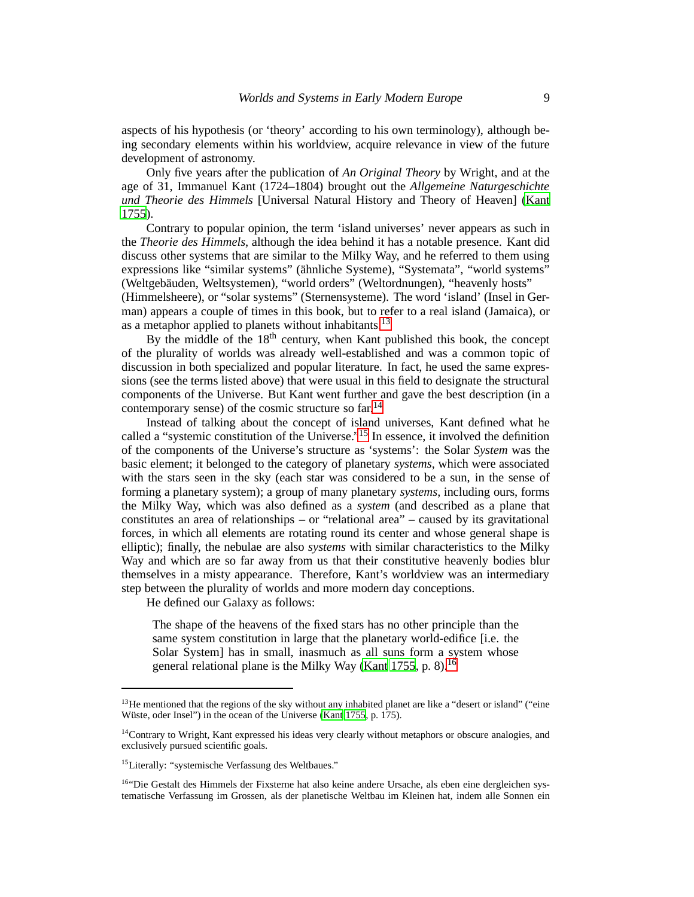aspects of his hypothesis (or 'theory' according to his own terminology), although being secondary elements within his worldview, acquire relevance in view of the future development of astronomy.

Only five years after the publication of *An Original Theory* by Wright, and at the age of 31, Immanuel Kant (1724–1804) brought out the *Allgemeine Naturgeschichte und Theorie des Himmels* [Universal Natural History and Theory of Heaven] [\(Kant](#page-11-6) [1755](#page-11-6)).

Contrary to popular opinion, the term 'island universes' never appears as such in the *Theorie des Himmels*, although the idea behind it has a notable presence. Kant did discuss other systems that are similar to the Milky Way, and he referred to them using expressions like "similar systems" (ähnliche Systeme), "Systemata", "world systems" (Weltgebäuden, Weltsystemen), "world orders" (Weltordnungen), "heavenly hosts"

(Himmelsheere), or "solar systems" (Sternensysteme). The word 'island' (Insel in German) appears a couple of times in this book, but to refer to a real island (Jamaica), or as a metaphor applied to planets without inhabitants.<sup>[13](#page-8-0)</sup>

By the middle of the 18<sup>th</sup> century, when Kant published this book, the concept of the plurality of worlds was already well-established and was a common topic of discussion in both specialized and popular literature. In fact, he used the same expressions (see the terms listed above) that were usual in this field to designate the structural components of the Universe. But Kant went further and gave the best description (in a contemporary sense) of the cosmic structure so far.<sup>[14](#page-8-1)</sup>

Instead of talking about the concept of island universes, Kant defined what he called a "systemic constitution of the Universe."[15](#page-8-2) In essence, it involved the definition of the components of the Universe's structure as 'systems': the Solar *System* was the basic element; it belonged to the category of planetary *systems*, which were associated with the stars seen in the sky (each star was considered to be a sun, in the sense of forming a planetary system); a group of many planetary *systems*, including ours, forms the Milky Way, which was also defined as a *system* (and described as a plane that constitutes an area of relationships – or "relational area" – caused by its gravitational forces, in which all elements are rotating round its center and whose general shape is elliptic); finally, the nebulae are also *systems* with similar characteristics to the Milky Way and which are so far away from us that their constitutive heavenly bodies blur themselves in a misty appearance. Therefore, Kant's worldview was an intermediary step between the plurality of worlds and more modern day conceptions.

He defined our Galaxy as follows:

The shape of the heavens of the fixed stars has no other principle than the same system constitution in large that the planetary world-edifice [i.e. the Solar System] has in small, inasmuch as all suns form a system whose general relational plane is the Milky Way [\(Kant 1755,](#page-11-6) p. 8).<sup>[16](#page-8-3)</sup>

<span id="page-8-0"></span> $13$  He mentioned that the regions of the sky without any inhabited planet are like a "desert or island" ("eine Wüste, oder Insel") in the ocean of the Universe [\(Kant 1755,](#page-11-6) p. 175).

<span id="page-8-1"></span><sup>&</sup>lt;sup>14</sup>Contrary to Wright, Kant expressed his ideas very clearly without metaphors or obscure analogies, and exclusively pursued scientific goals.

<sup>15</sup>Literally: "systemische Verfassung des Weltbaues."

<span id="page-8-3"></span><span id="page-8-2"></span><sup>&</sup>lt;sup>16"</sup>Die Gestalt des Himmels der Fixsterne hat also keine andere Ursache, als eben eine dergleichen systematische Verfassung im Grossen, als der planetische Weltbau im Kleinen hat, indem alle Sonnen ein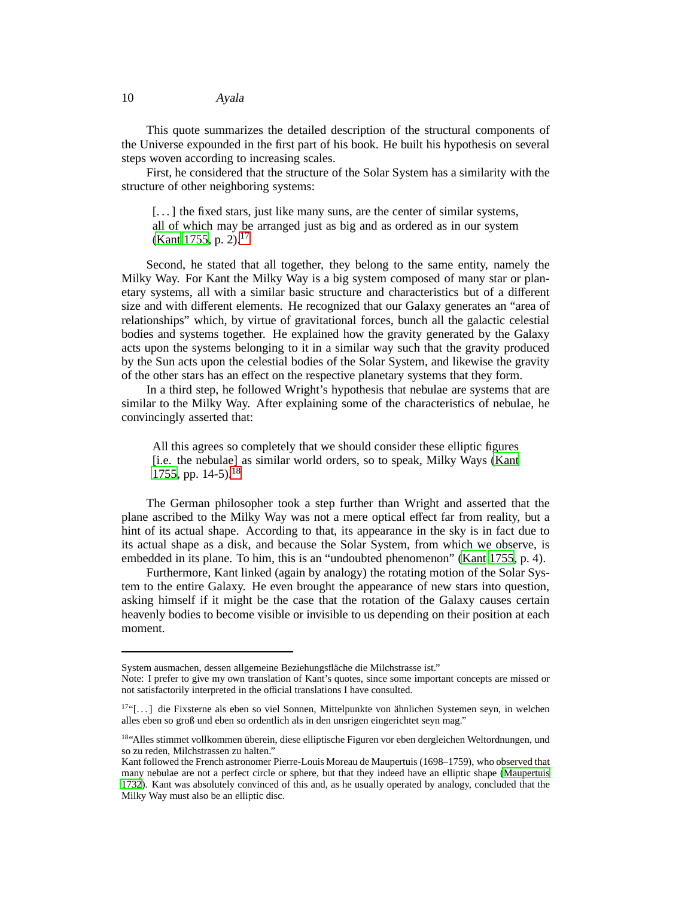### 10 Ayala

This quote summarizes the detailed description of the structural components of the Universe expounded in the first part of his book. He built his hypothesis on several steps woven according to increasing scales.

First, he considered that the structure of the Solar System has a similarity with the structure of other neighboring systems:

[...] the fixed stars, just like many suns, are the center of similar systems, all of which may be arranged just as big and as ordered as in our system [\(Kant 1755,](#page-11-6) p. 2).<sup>[17](#page-9-0)</sup>

Second, he stated that all together, they belong to the same entity, namely the Milky Way. For Kant the Milky Way is a big system composed of many star or planetary systems, all with a similar basic structure and characteristics but of a different size and with different elements. He recognized that our Galaxy generates an "area of relationships" which, by virtue of gravitational forces, bunch all the galactic celestial bodies and systems together. He explained how the gravity generated by the Galaxy acts upon the systems belonging to it in a similar way such that the gravity produced by the Sun acts upon the celestial bodies of the Solar System, and likewise the gravity of the other stars has an effect on the respective planetary systems that they form.

In a third step, he followed Wright's hypothesis that nebulae are systems that are similar to the Milky Way. After explaining some of the characteristics of nebulae, he convincingly asserted that:

All this agrees so completely that we should consider these elliptic figures [i.e. the nebulae] as similar world orders, so to speak, Milky Ways [\(Kant](#page-11-6) [1755](#page-11-6), pp.  $14-5$ ).<sup>[18](#page-9-1)</sup>

The German philosopher took a step further than Wright and asserted that the plane ascribed to the Milky Way was not a mere optical effect far from reality, but a hint of its actual shape. According to that, its appearance in the sky is in fact due to its actual shape as a disk, and because the Solar System, from which we observe, is embedded in its plane. To him, this is an "undoubted phenomenon" [\(Kant 1755](#page-11-6), p. 4).

Furthermore, Kant linked (again by analogy) the rotating motion of the Solar System to the entire Galaxy. He even brought the appearance of new stars into question, asking himself if it might be the case that the rotation of the Galaxy causes certain heavenly bodies to become visible or invisible to us depending on their position at each moment.

System ausmachen, dessen allgemeine Beziehungsfläche die Milchstrasse ist."

Note: I prefer to give my own translation of Kant's quotes, since some important concepts are missed or not satisfactorily interpreted in the official translations I have consulted.

<span id="page-9-0"></span><sup>&</sup>lt;sup>17"</sup>[...] die Fixsterne als eben so viel Sonnen, Mittelpunkte von ähnlichen Systemen seyn, in welchen alles eben so groß und eben so ordentlich als in den unsrigen eingerichtet seyn mag."

<span id="page-9-1"></span><sup>18&</sup>quot;Alles stimmet vollkommen überein, diese elliptische Figuren vor eben dergleichen Weltordnungen, und so zu reden, Milchstrassen zu halten."

Kant followed the French astronomer Pierre-Louis Moreau de Maupertuis (1698–1759), who observed that many nebulae are not a perfect circle or sphere, but that they indeed have an elliptic shape [\(Maupertuis](#page-11-7) [1732](#page-11-7)). Kant was absolutely convinced of this and, as he usually operated by analogy, concluded that the Milky Way must also be an elliptic disc.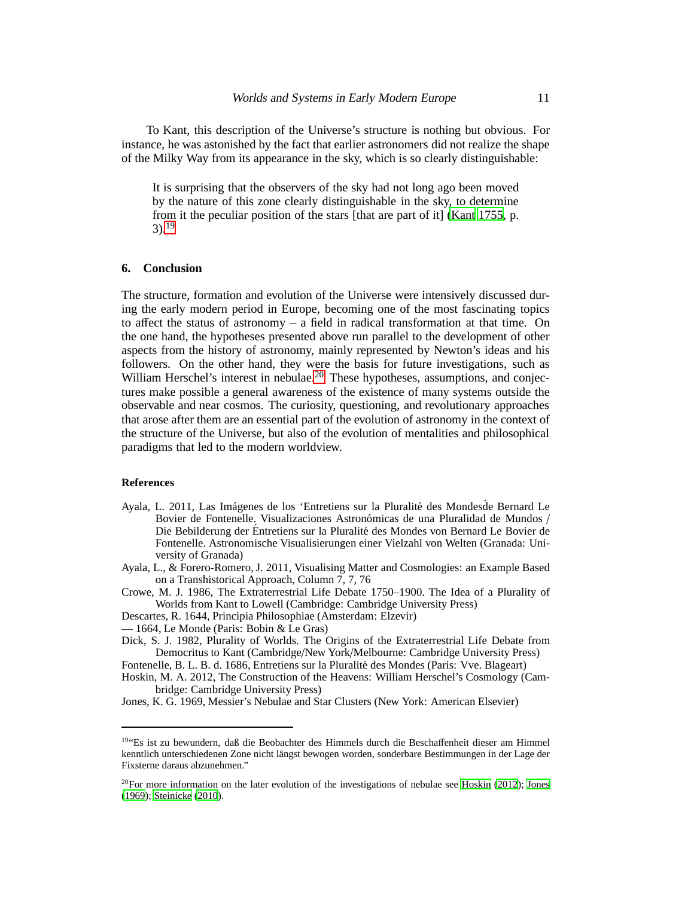To Kant, this description of the Universe's structure is nothing but obvious. For instance, he was astonished by the fact that earlier astronomers did not realize the shape of the Milky Way from its appearance in the sky, which is so clearly distinguishable:

It is surprising that the observers of the sky had not long ago been moved by the nature of this zone clearly distinguishable in the sky, to determine from it the peculiar position of the stars [that are part of it] [\(Kant 1755](#page-11-6), p.  $3)$ <sup>[19](#page-10-8)</sup>

# **6. Conclusion**

The structure, formation and evolution of the Universe were intensively discussed during the early modern period in Europe, becoming one of the most fascinating topics to affect the status of astronomy  $-$  a field in radical transformation at that time. On the one hand, the hypotheses presented above run parallel to the development of other aspects from the history of astronomy, mainly represented by Newton's ideas and his followers. On the other hand, they were the basis for future investigations, such as William Herschel's interest in nebulae.<sup>[20](#page-10-9)</sup> These hypotheses, assumptions, and conjectures make possible a general awareness of the existence of many systems outside the observable and near cosmos. The curiosity, questioning, and revolutionary approaches that arose after them are an essential part of the evolution of astronomy in the context of the structure of the Universe, but also of the evolution of mentalities and philosophical paradigms that led to the modern worldview.

### **References**

- <span id="page-10-7"></span>Ayala, L. 2011, Las Imágenes de los 'Entretiens sur la Pluralité des Mondesde Bernard Le Bovier de Fontenelle. Visualizaciones Astronómicas de una Pluralidad de Mundos / Die Bebilderung der Éntretiens sur la Pluralité des Mondes von Bernard Le Bovier de Fontenelle. Astronomische Visualisierungen einer Vielzahl von Welten (Granada: University of Granada)
- <span id="page-10-6"></span>Ayala, L., & Forero-Romero, J. 2011, Visualising Matter and Cosmologies: an Example Based on a Transhistorical Approach, Column 7, 7, 76

<span id="page-10-1"></span>Crowe, M. J. 1986, The Extraterrestrial Life Debate 1750–1900. The Idea of a Plurality of Worlds from Kant to Lowell (Cambridge: Cambridge University Press)

<span id="page-10-4"></span>Descartes, R. 1644, Principia Philosophiae (Amsterdam: Elzevir)

<span id="page-10-5"></span>— 1664, Le Monde (Paris: Bobin & Le Gras)

<span id="page-10-0"></span>Dick, S. J. 1982, Plurality of Worlds. The Origins of the Extraterrestrial Life Debate from Democritus to Kant (Cambridge/New York/Melbourne: Cambridge University Press)

<span id="page-10-2"></span>Fontenelle, B. L. B. d. 1686, Entretiens sur la Pluralité des Mondes (Paris: Vve. Blageart) Hoskin, M. A. 2012, The Construction of the Heavens: William Herschel's Cosmology (Cam-

<span id="page-10-10"></span>bridge: Cambridge University Press)

<span id="page-10-3"></span>Jones, K. G. 1969, Messier's Nebulae and Star Clusters (New York: American Elsevier)

<span id="page-10-8"></span><sup>19</sup>"Es ist zu bewundern, daß die Beobachter des Himmels durch die Beschaffenheit dieser am Himmel kenntlich unterschiedenen Zone nicht längst bewogen worden, sonderbare Bestimmungen in der Lage der Fixsterne daraus abzunehmen."

<span id="page-10-9"></span> $^{20}$ For more information on the later evolution of the investigations of nebulae see [Hoskin \(2012](#page-10-10)); [Jones](#page-10-3) [\(1969](#page-10-3)); [Steinicke \(2010](#page-11-8)).